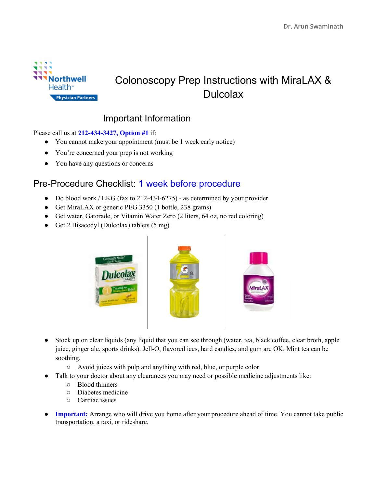

## Colonoscopy Prep Instructions with MiraLAX & **Dulcolax**

## Important Information

Please call us at **212-434-3427, Option #1** if:

- You cannot make your appointment (must be 1 week early notice)
- You're concerned your prep is not working
- You have any questions or concerns

## Pre-Procedure Checklist: 1 week before procedure

- Do blood work / EKG (fax to 212-434-6275) as determined by your provider
- Get MiraLAX or generic PEG 3350 (1 bottle, 238 grams)
- Get water, Gatorade, or Vitamin Water Zero (2 liters, 64 oz, no red coloring)
- Get 2 Bisacodyl (Dulcolax) tablets (5 mg)



- Stock up on clear liquids (any liquid that you can see through (water, tea, black coffee, clear broth, apple juice, ginger ale, sports drinks). Jell-O, flavored ices, hard candies, and gum are OK. Mint tea can be soothing.
	- Avoid juices with pulp and anything with red, blue, or purple color
- Talk to your doctor about any clearances you may need or possible medicine adjustments like:
	- Blood thinners
	- Diabetes medicine
	- Cardiac issues
- **Important:** Arrange who will drive you home after your procedure ahead of time. You cannot take public transportation, a taxi, or rideshare.